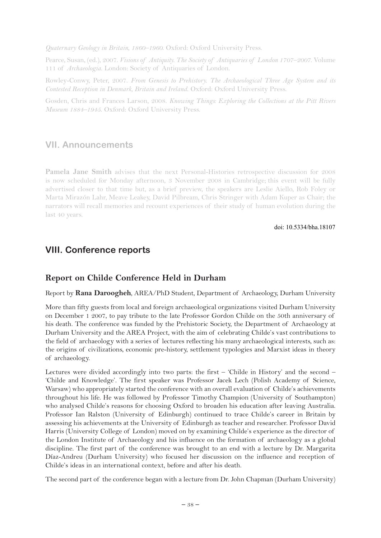*Quaternary Geology in Britain, 1860–1960*. Oxford: Oxford University Press.

Pearce, Susan, (ed.), 2007. *Visions of Antiquity. The Society of Antiquaries of London 1707–2007*. Volume 111 of *Archaeologia*. London: Society of Antiquaries of London.

Rowley-Conwy, Peter, 2007. *From Genesis to Prehistory. The Archaeological Three Age System and its Contested Reception in Denmark, Britain and Ireland*. Oxford: Oxford University Press.

Gosden, Chris and Frances Larson, 2008. *Knowing Things: Exploring the Collections at the Pitt Rivers Museum 1884–1945*. Oxford: Oxford University Press.

### **VII. Announcements**

**Pamela Jane Smith** advises that the next Personal-Histories retrospective discussion for 2008 is now scheduled for Monday afternoon, 3 November 2008 in Cambridge; this event will be fully advertised closer to that time but, as a brief preview, the speakers are Leslie Aiello, Rob Foley or Marta Mirazón Lahr, Meave Leakey, David Pilbream, Chris Stringer with Adam Kuper as Chair; the narrators will recall memories and recount experiences of their study of human evolution during the last 40 years.

doi: 10.5334/bha.18107

# **VIII. Conference reports**

#### **Report on Childe Conference Held in Durham**

Report by **Rana Daroogheh**, AREA/PhD Student, Department of Archaeology, Durham University

More than fifty guests from local and foreign archaeological organizations visited Durham University on December 1 2007, to pay tribute to the late Professor Gordon Childe on the 50th anniversary of his death. The conference was funded by the Prehistoric Society, the Department of Archaeology at Durham University and the AREA Project, with the aim of celebrating Childe's vast contributions to the field of archaeology with a series of lectures reflecting his many archaeological interests, such as: the origins of civilizations, economic pre-history, settlement typologies and Marxist ideas in theory of archaeology.

Lectures were divided accordingly into two parts: the first – 'Childe in History' and the second – 'Childe and Knowledge'. The first speaker was Professor Jacek Lech (Polish Academy of Science, Warsaw) who appropriately started the conference with an overall evaluation of Childe's achievements throughout his life. He was followed by Professor Timothy Champion (University of Southampton) who analysed Childe's reasons for choosing Oxford to broaden his education after leaving Australia. Professor Ian Ralston (University of Edinburgh) continued to trace Childe's career in Britain by assessing his achievements at the University of Edinburgh as teacher and researcher. Professor David Harris (University College of London) moved on by examining Childe's experience as the director of the London Institute of Archaeology and his influence on the formation of archaeology as a global discipline. The first part of the conference was brought to an end with a lecture by Dr. Margarita Díaz-Andreu (Durham University) who focused her discussion on the influence and reception of Childe's ideas in an international context, before and after his death.

The second part of the conference began with a lecture from Dr. John Chapman (Durham University)